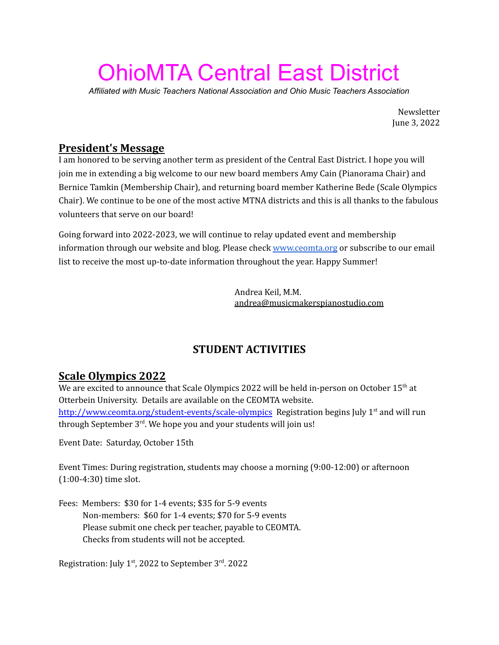# OhioMTA Central East District

*Affiliated with Music Teachers National Association and Ohio Music Teachers Association*

Newsletter June 3, 2022

## **President's Message**

I am honored to be serving another term as president of the Central East District. I hope you will join me in extending a big welcome to our new board members Amy Cain (Pianorama Chair) and Bernice Tamkin (Membership Chair), and returning board member Katherine Bede (Scale Olympics Chair). We continue to be one of the most active MTNA districts and this is all thanks to the fabulous volunteers that serve on our board!

Going forward into 2022-2023, we will continue to relay updated event and membership information through our website and blog. Please check [www.ceomta.org](http://www.ceomta.org/) or subscribe to our email list to receive the most up-to-date information throughout the year. Happy Summer!

> Andrea Keil, M.M. [andrea@musicmakerspianostudio.com](mailto:andrea@musicmakerspianostudio.com)

# **STUDENT ACTIVITIES**

# **Scale Olympics 2022**

We are excited to announce that Scale Olympics 2022 will be held in-person on October 15 $^{\rm th}$  at Otterbein University. Details are available on the CEOMTA website. <http://www.ceomta.org/student-events/scale-olympics> Registration begins July 1<sup>st</sup> and will run through September 3<sup>rd</sup>. We hope you and your students will join us!

Event Date: Saturday, October 15th

Event Times: During registration, students may choose a morning (9:00-12:00) or afternoon (1:00-4:30) time slot.

Fees: Members: \$30 for 1-4 events; \$35 for 5-9 events Non-members: \$60 for 1-4 events; \$70 for 5-9 events Please submit one check per teacher, payable to CEOMTA. Checks from students will not be accepted.

Registration: July 1<sup>st</sup>, 2022 to September 3<sup>rd</sup>. 2022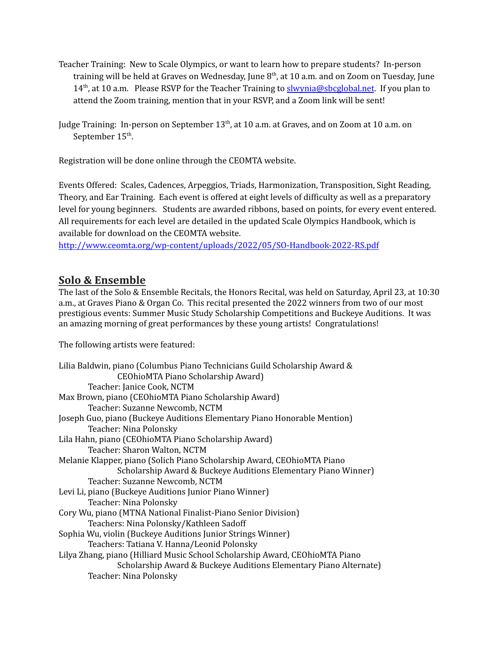- Teacher Training: New to Scale Olympics, or want to learn how to prepare students? In-person training will be held at Graves on Wednesday, June  $8^{\rm th}$ , at 10 a.m. and on Zoom on Tuesday, June 14<sup>th</sup>, at 10 a.m. Please RSVP for the Teacher Training to **[slwynia@sbcglobal.net](mailto:slwynia@sbcglobal.net).** If you plan to attend the Zoom training, mention that in your RSVP, and a Zoom link will be sent!
- Judge Training: In-person on September  $13^{\text{th}}$ , at 10 a.m. at Graves, and on Zoom at 10 a.m. on September 15<sup>th</sup>.

Registration will be done online through the CEOMTA website.

Events Offered: Scales, Cadences, Arpeggios, Triads, Harmonization, Transposition, Sight Reading, Theory, and Ear Training. Each event is offered at eight levels of difficulty as well as a preparatory level for young beginners. Students are awarded ribbons, based on points, for every event entered. All requirements for each level are detailed in the updated Scale Olympics Handbook, which is available for download on the CEOMTA website.

<http://www.ceomta.org/wp-content/uploads/2022/05/SO-Handbook-2022-RS.pdf>

## **Solo & Ensemble**

The last of the Solo & Ensemble Recitals, the Honors Recital, was held on Saturday, April 23, at 10:30 a.m., at Graves Piano & Organ Co. This recital presented the 2022 winners from two of our most prestigious events: Summer Music Study Scholarship Competitions and Buckeye Auditions. It was an amazing morning of great performances by these young artists! Congratulations!

The following artists were featured:

| Lilia Baldwin, piano (Columbus Piano Technicians Guild Scholarship Award &<br>CEOhioMTA Piano Scholarship Award) |
|------------------------------------------------------------------------------------------------------------------|
| Teacher: Janice Cook, NCTM                                                                                       |
| Max Brown, piano (CEOhioMTA Piano Scholarship Award)                                                             |
| Teacher: Suzanne Newcomb, NCTM                                                                                   |
| Joseph Guo, piano (Buckeye Auditions Elementary Piano Honorable Mention)                                         |
| Teacher: Nina Polonsky                                                                                           |
| Lila Hahn, piano (CEOhioMTA Piano Scholarship Award)                                                             |
| Teacher: Sharon Walton, NCTM                                                                                     |
| Melanie Klapper, piano (Solich Piano Scholarship Award, CEOhioMTA Piano                                          |
| Scholarship Award & Buckeye Auditions Elementary Piano Winner)                                                   |
| Teacher: Suzanne Newcomb, NCTM                                                                                   |
| Levi Li, piano (Buckeye Auditions Junior Piano Winner)                                                           |
| Teacher: Nina Polonsky                                                                                           |
| Cory Wu, piano (MTNA National Finalist-Piano Senior Division)                                                    |
| Teachers: Nina Polonsky/Kathleen Sadoff                                                                          |
| Sophia Wu, violin (Buckeye Auditions Junior Strings Winner)                                                      |
| Teachers: Tatiana V. Hanna/Leonid Polonsky                                                                       |
| Lilya Zhang, piano (Hilliard Music School Scholarship Award, CEOhioMTA Piano                                     |
| Scholarship Award & Buckeye Auditions Elementary Piano Alternate)                                                |
| Teacher: Nina Polonsky                                                                                           |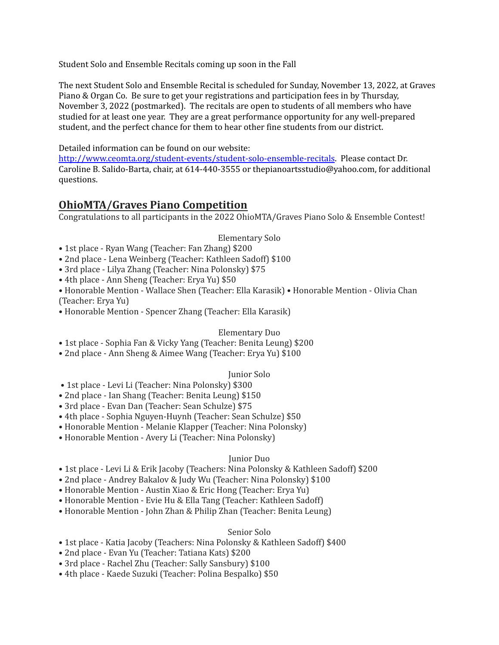Student Solo and Ensemble Recitals coming up soon in the Fall

The next Student Solo and Ensemble Recital is scheduled for Sunday, November 13, 2022, at Graves Piano & Organ Co. Be sure to get your registrations and participation fees in by Thursday, November 3, 2022 (postmarked). The recitals are open to students of all members who have studied for at least one year. They are a great performance opportunity for any well-prepared student, and the perfect chance for them to hear other fine students from our district.

Detailed information can be found on our website:

<http://www.ceomta.org/student-events/student-solo-ensemble-recitals>. Please contact Dr. Caroline B. Salido-Barta, chair, at 614-440-3555 or thepianoartsstudio@yahoo.com, for additional questions.

## **OhioMTA/Graves Piano Competition**

Congratulations to all participants in the 2022 OhioMTA/Graves Piano Solo & Ensemble Contest!

#### Elementary Solo

- 1st place Ryan Wang (Teacher: Fan Zhang) \$200
- 2nd place Lena Weinberg (Teacher: Kathleen Sadoff) \$100
- 3rd place Lilya Zhang (Teacher: Nina Polonsky) \$75
- 4th place Ann Sheng (Teacher: Erya Yu) \$50
- Honorable Mention Wallace Shen (Teacher: Ella Karasik) Honorable Mention Olivia Chan (Teacher: Erya Yu)
- Honorable Mention Spencer Zhang (Teacher: Ella Karasik)

#### Elementary Duo

- 1st place Sophia Fan & Vicky Yang (Teacher: Benita Leung) \$200
- 2nd place Ann Sheng & Aimee Wang (Teacher: Erya Yu) \$100

#### Junior Solo

- 1st place Levi Li (Teacher: Nina Polonsky) \$300
- 2nd place Ian Shang (Teacher: Benita Leung) \$150
- 3rd place Evan Dan (Teacher: Sean Schulze) \$75
- 4th place Sophia Nguyen-Huynh (Teacher: Sean Schulze) \$50
- Honorable Mention Melanie Klapper (Teacher: Nina Polonsky)
- Honorable Mention Avery Li (Teacher: Nina Polonsky)

#### Junior Duo

- 1st place Levi Li & Erik Jacoby (Teachers: Nina Polonsky & Kathleen Sadoff) \$200
- 2nd place Andrey Bakalov & Judy Wu (Teacher: Nina Polonsky) \$100
- Honorable Mention Austin Xiao & Eric Hong (Teacher: Erya Yu)
- Honorable Mention Evie Hu & Ella Tang (Teacher: Kathleen Sadoff)
- Honorable Mention John Zhan & Philip Zhan (Teacher: Benita Leung)

#### Senior Solo

- 1st place Katia Jacoby (Teachers: Nina Polonsky & Kathleen Sadoff) \$400
- 2nd place Evan Yu (Teacher: Tatiana Kats) \$200
- 3rd place Rachel Zhu (Teacher: Sally Sansbury) \$100
- 4th place Kaede Suzuki (Teacher: Polina Bespalko) \$50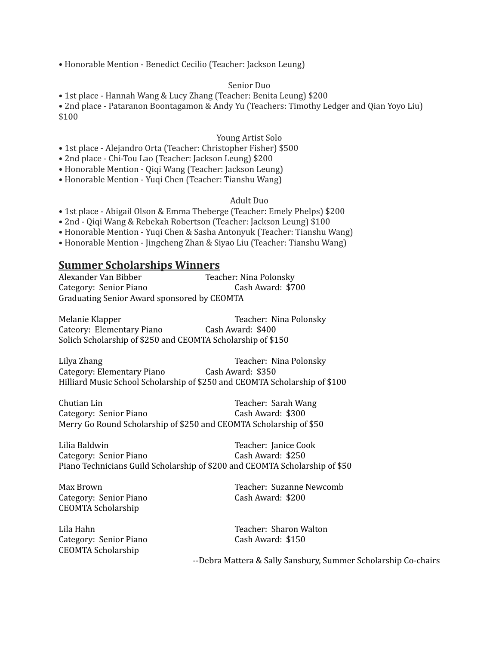• Honorable Mention - Benedict Cecilio (Teacher: Jackson Leung)

#### Senior Duo

• 1st place - Hannah Wang & Lucy Zhang (Teacher: Benita Leung) \$200

• 2nd place - Pataranon Boontagamon & Andy Yu (Teachers: Timothy Ledger and Qian Yoyo Liu) \$100

#### Young Artist Solo

- 1st place Alejandro Orta (Teacher: Christopher Fisher) \$500
- 2nd place Chi-Tou Lao (Teacher: Jackson Leung) \$200
- Honorable Mention Qiqi Wang (Teacher: Jackson Leung)
- Honorable Mention Yuqi Chen (Teacher: Tianshu Wang)

#### Adult Duo

- 1st place Abigail Olson & Emma Theberge (Teacher: Emely Phelps) \$200
- 2nd Qiqi Wang & Rebekah Robertson (Teacher: Jackson Leung) \$100
- Honorable Mention Yuqi Chen & Sasha Antonyuk (Teacher: Tianshu Wang)
- Honorable Mention Jingcheng Zhan & Siyao Liu (Teacher: Tianshu Wang)

### **Summer Scholarships Winners**

Alexander Van Bibber Teacher: Nina Polonsky Category: Senior Piano<br>
Cash Award: \$700 Graduating Senior Award sponsored by CEOMTA

Melanie Klapper Teacher: Nina Polonsky Cateory: Elementary Piano Cash Award: \$400 Solich Scholarship of \$250 and CEOMTA Scholarship of \$150

Lilya Zhang Teacher: Nina Polonsky Category: Elementary Piano Cash Award: \$350 Hilliard Music School Scholarship of \$250 and CEOMTA Scholarship of \$100

Chutian Lin<br>
Category: Senior Piano<br>
Cash Award: \$300 Category: Senior Piano Merry Go Round Scholarship of \$250 and CEOMTA Scholarship of \$50

Lilia Baldwin Teacher: Janice Cook Category: Senior Piano Cash Award: \$250 Piano Technicians Guild Scholarship of \$200 and CEOMTA Scholarship of \$50

Category: Senior Piano Cash Award: \$200 CEOMTA Scholarship

Lila Hahn Teacher: Sharon Walton Category: Senior Piano Cash Award: \$150 CEOMTA Scholarship

Max Brown Teacher: Suzanne Newcomb

--Debra Mattera & Sally Sansbury, Summer Scholarship Co-chairs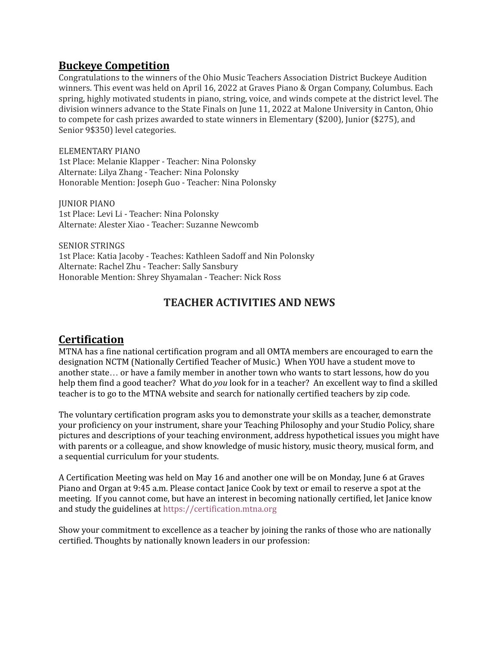## **Buckeye Competition**

Congratulations to the winners of the Ohio Music Teachers Association District Buckeye Audition winners. This event was held on April 16, 2022 at Graves Piano & Organ Company, Columbus. Each spring, highly motivated students in piano, string, voice, and winds compete at the district level. The division winners advance to the State Finals on June 11, 2022 at Malone University in Canton, Ohio to compete for cash prizes awarded to state winners in Elementary (\$200), Junior (\$275), and Senior 9\$350) level categories.

ELEMENTARY PIANO 1st Place: Melanie Klapper - Teacher: Nina Polonsky Alternate: Lilya Zhang - Teacher: Nina Polonsky Honorable Mention: Joseph Guo - Teacher: Nina Polonsky

JUNIOR PIANO 1st Place: Levi Li - Teacher: Nina Polonsky Alternate: Alester Xiao - Teacher: Suzanne Newcomb

SENIOR STRINGS 1st Place: Katia Jacoby - Teaches: Kathleen Sadoff and Nin Polonsky Alternate: Rachel Zhu - Teacher: Sally Sansbury Honorable Mention: Shrey Shyamalan - Teacher: Nick Ross

# **TEACHER ACTIVITIES AND NEWS**

# **Certification**

MTNA has a fine national certification program and all OMTA members are encouraged to earn the designation NCTM (Nationally Certified Teacher of Music.) When YOU have a student move to another state… or have a family member in another town who wants to start lessons, how do you help them find a good teacher? What do *you* look for in a teacher? An excellent way to find a skilled teacher is to go to the MTNA website and search for nationally certified teachers by zip code.

The voluntary certification program asks you to demonstrate your skills as a teacher, demonstrate your proficiency on your instrument, share your Teaching Philosophy and your Studio Policy, share pictures and descriptions of your teaching environment, address hypothetical issues you might have with parents or a colleague, and show knowledge of music history, music theory, musical form, and a sequential curriculum for your students.

A Certification Meeting was held on May 16 and another one will be on Monday, June 6 at Graves Piano and Organ at 9:45 a.m. Please contact Janice Cook by text or email to reserve a spot at the meeting. If you cannot come, but have an interest in becoming nationally certified, let Janice know and study the guidelines at [https://certification.mtna.org](https://certification.mtna.org/)

Show your commitment to excellence as a teacher by joining the ranks of those who are nationally certified. Thoughts by nationally known leaders in our profession: